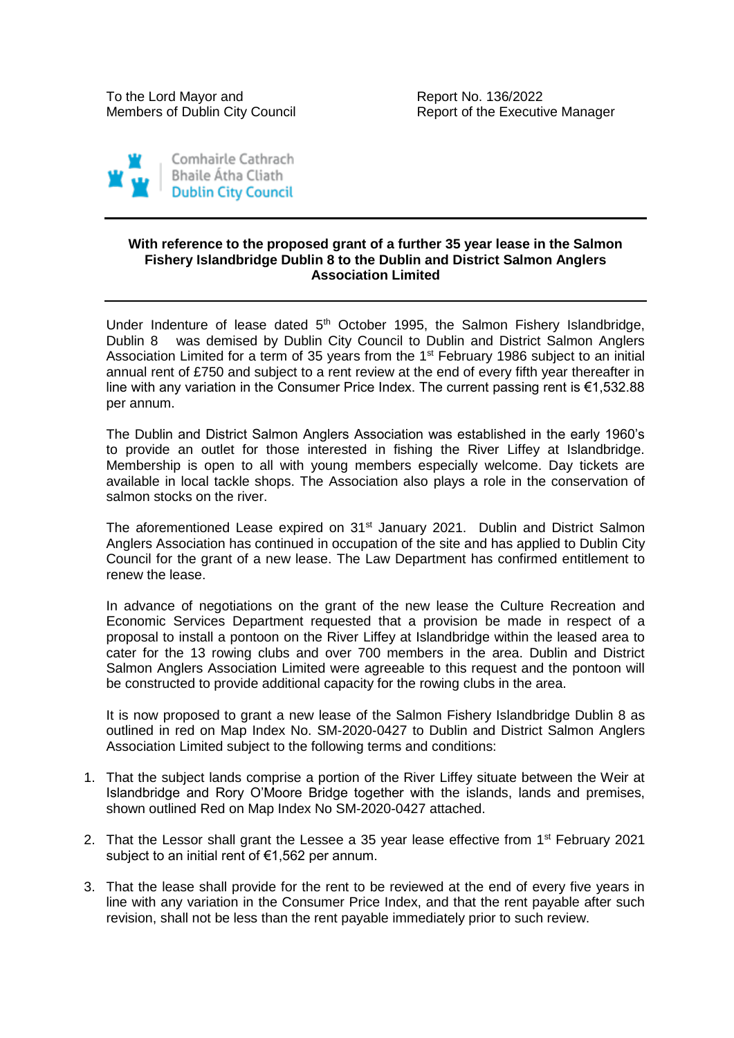Report of the Executive Manager



## **With reference to the proposed grant of a further 35 year lease in the Salmon Fishery Islandbridge Dublin 8 to the Dublin and District Salmon Anglers Association Limited**

Under Indenture of lease dated 5<sup>th</sup> October 1995, the Salmon Fishery Islandbridge, Dublin 8 was demised by Dublin City Council to Dublin and District Salmon Anglers Association Limited for a term of 35 years from the  $1<sup>st</sup>$  February 1986 subject to an initial annual rent of £750 and subject to a rent review at the end of every fifth year thereafter in line with any variation in the Consumer Price Index. The current passing rent is €1,532.88 per annum.

The Dublin and District Salmon Anglers Association was established in the early 1960's to provide an outlet for those interested in fishing the River Liffey at Islandbridge. Membership is open to all with young members especially welcome. Day tickets are available in local tackle shops. The Association also plays a role in the conservation of salmon stocks on the river.

The aforementioned Lease expired on 31<sup>st</sup> January 2021. Dublin and District Salmon Anglers Association has continued in occupation of the site and has applied to Dublin City Council for the grant of a new lease. The Law Department has confirmed entitlement to renew the lease.

In advance of negotiations on the grant of the new lease the Culture Recreation and Economic Services Department requested that a provision be made in respect of a proposal to install a pontoon on the River Liffey at Islandbridge within the leased area to cater for the 13 rowing clubs and over 700 members in the area. Dublin and District Salmon Anglers Association Limited were agreeable to this request and the pontoon will be constructed to provide additional capacity for the rowing clubs in the area.

It is now proposed to grant a new lease of the Salmon Fishery Islandbridge Dublin 8 as outlined in red on Map Index No. SM-2020-0427 to Dublin and District Salmon Anglers Association Limited subject to the following terms and conditions:

- 1. That the subject lands comprise a portion of the River Liffey situate between the Weir at Islandbridge and Rory O'Moore Bridge together with the islands, lands and premises, shown outlined Red on Map Index No SM-2020-0427 attached.
- 2. That the Lessor shall grant the Lessee a 35 year lease effective from 1<sup>st</sup> February 2021 subject to an initial rent of €1,562 per annum.
- 3. That the lease shall provide for the rent to be reviewed at the end of every five years in line with any variation in the Consumer Price Index, and that the rent payable after such revision, shall not be less than the rent payable immediately prior to such review.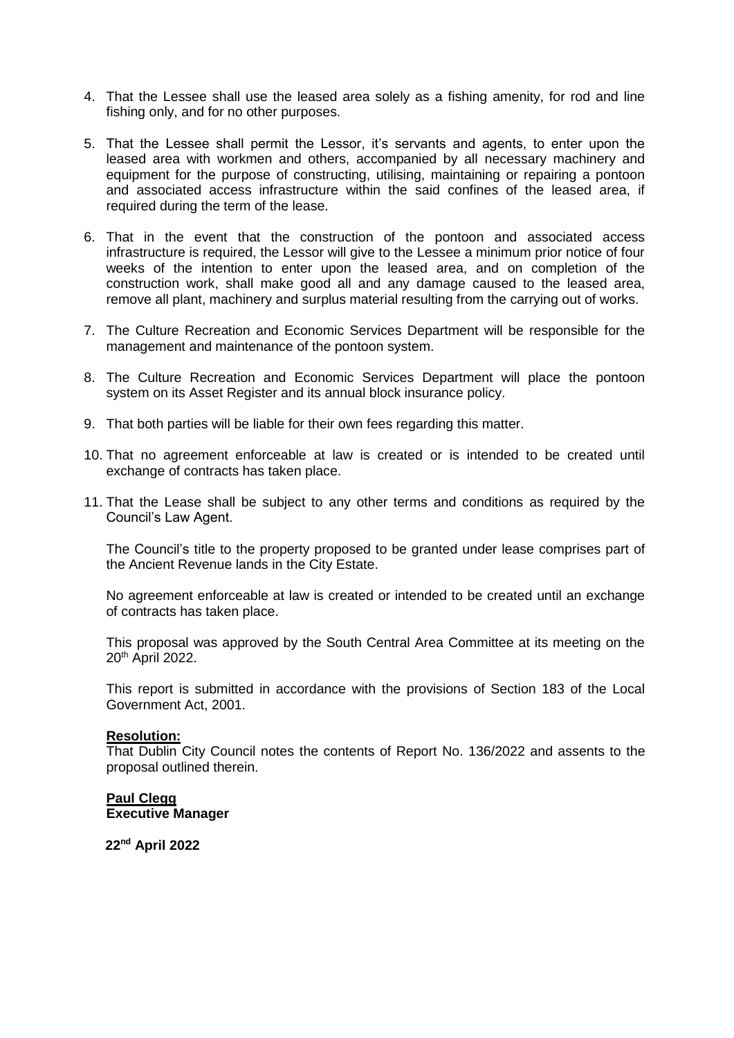- 4. That the Lessee shall use the leased area solely as a fishing amenity, for rod and line fishing only, and for no other purposes.
- 5. That the Lessee shall permit the Lessor, it's servants and agents, to enter upon the leased area with workmen and others, accompanied by all necessary machinery and equipment for the purpose of constructing, utilising, maintaining or repairing a pontoon and associated access infrastructure within the said confines of the leased area, if required during the term of the lease.
- 6. That in the event that the construction of the pontoon and associated access infrastructure is required, the Lessor will give to the Lessee a minimum prior notice of four weeks of the intention to enter upon the leased area, and on completion of the construction work, shall make good all and any damage caused to the leased area, remove all plant, machinery and surplus material resulting from the carrying out of works.
- 7. The Culture Recreation and Economic Services Department will be responsible for the management and maintenance of the pontoon system.
- 8. The Culture Recreation and Economic Services Department will place the pontoon system on its Asset Register and its annual block insurance policy.
- 9. That both parties will be liable for their own fees regarding this matter.
- 10. That no agreement enforceable at law is created or is intended to be created until exchange of contracts has taken place.
- 11. That the Lease shall be subject to any other terms and conditions as required by the Council's Law Agent.

The Council's title to the property proposed to be granted under lease comprises part of the Ancient Revenue lands in the City Estate.

No agreement enforceable at law is created or intended to be created until an exchange of contracts has taken place.

This proposal was approved by the South Central Area Committee at its meeting on the 20th April 2022.

This report is submitted in accordance with the provisions of Section 183 of the Local Government Act, 2001.

## **Resolution:**

That Dublin City Council notes the contents of Report No. 136/2022 and assents to the proposal outlined therein.

## **Paul Clegg Executive Manager**

**22nd April 2022**